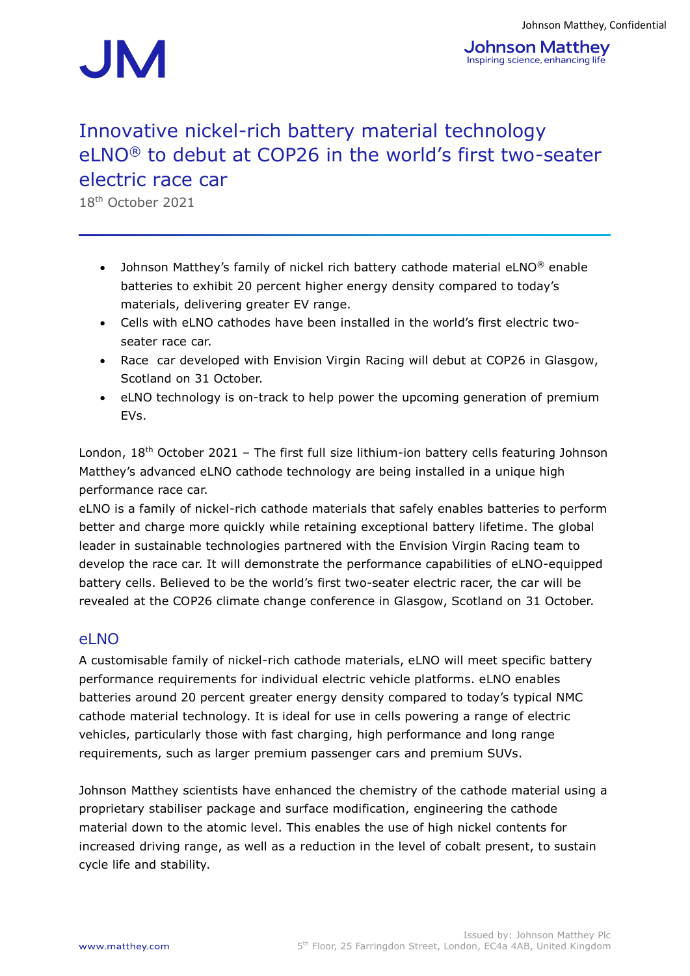

# Innovative nickel-rich battery material technology eLNO® to debut at COP26 in the world's first two-seater electric race car

18th October 2021

- Johnson Matthey's family of nickel rich battery cathode material eLNO<sup>®</sup> enable batteries to exhibit 20 percent higher energy density compared to today's materials, delivering greater EV range.
- Cells with eLNO cathodes have been installed in the world's first electric twoseater race car.
- Race car developed with Envision Virgin Racing will debut at COP26 in Glasgow, Scotland on 31 October.
- eLNO technology is on-track to help power the upcoming generation of premium EVs.

London,  $18<sup>th</sup>$  October 2021 – The first full size lithium-ion battery cells featuring Johnson Matthey's advanced eLNO cathode technology are being installed in a unique high performance race car.

eLNO is a family of nickel-rich cathode materials that safely enables batteries to perform better and charge more quickly while retaining exceptional battery lifetime. The global leader in sustainable technologies partnered with the Envision Virgin Racing team to develop the race car. It will demonstrate the performance capabilities of eLNO-equipped battery cells. Believed to be the world's first two-seater electric racer, the car will be revealed at the COP26 climate change conference in Glasgow, Scotland on 31 October.

#### el NO

A customisable family of nickel-rich cathode materials, eLNO will meet specific battery performance requirements for individual electric vehicle platforms. eLNO enables batteries around 20 percent greater energy density compared to today's typical NMC cathode material technology. It is ideal for use in cells powering a range of electric vehicles, particularly those with fast charging, high performance and long range requirements, such as larger premium passenger cars and premium SUVs.

Johnson Matthey scientists have enhanced the chemistry of the cathode material using a proprietary stabiliser package and surface modification, engineering the cathode material down to the atomic level. This enables the use of high nickel contents for increased driving range, as well as a reduction in the level of cobalt present, to sustain cycle life and stability.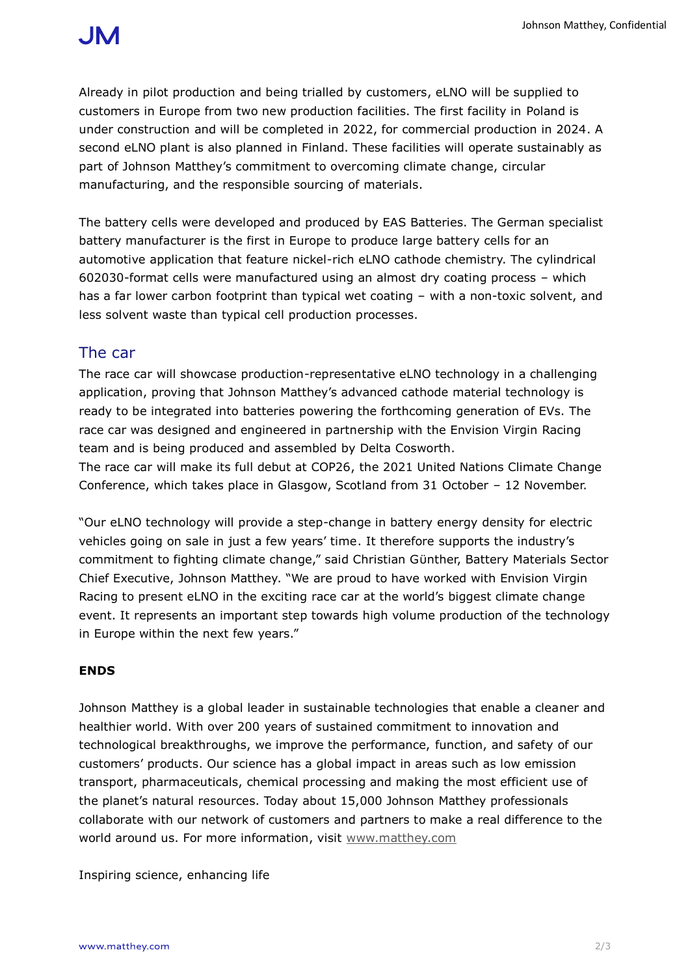Already in pilot production and being trialled by customers, eLNO will be supplied to customers in Europe from two new production facilities. The first facility in Poland is under construction and will be completed in 2022, for commercial production in 2024. A second eLNO plant is also planned in Finland. These facilities will operate sustainably as part of Johnson Matthey's commitment to overcoming climate change, circular manufacturing, and the responsible sourcing of materials.

The battery cells were developed and produced by EAS Batteries. The German specialist battery manufacturer is the first in Europe to produce large battery cells for an automotive application that feature nickel-rich eLNO cathode chemistry. The cylindrical 602030-format cells were manufactured using an almost dry coating process – which has a far lower carbon footprint than typical wet coating – with a non-toxic solvent, and less solvent waste than typical cell production processes.

### The car

The race car will showcase production-representative eLNO technology in a challenging application, proving that Johnson Matthey's advanced cathode material technology is ready to be integrated into batteries powering the forthcoming generation of EVs. The race car was designed and engineered in partnership with the Envision Virgin Racing team and is being produced and assembled by Delta Cosworth.

The race car will make its full debut at COP26, the 2021 United Nations Climate Change Conference, which takes place in Glasgow, Scotland from 31 October – 12 November.

"Our eLNO technology will provide a step-change in battery energy density for electric vehicles going on sale in just a few years' time. It therefore supports the industry's commitment to fighting climate change," said Christian Gϋnther, Battery Materials Sector Chief Executive, Johnson Matthey. "We are proud to have worked with Envision Virgin Racing to present eLNO in the exciting race car at the world's biggest climate change event. It represents an important step towards high volume production of the technology in Europe within the next few years."

#### **ENDS**

Johnson Matthey is a global leader in sustainable technologies that enable a cleaner and healthier world. With over 200 years of sustained commitment to innovation and technological breakthroughs, we improve the performance, function, and safety of our customers' products. Our science has a global impact in areas such as low emission transport, pharmaceuticals, chemical processing and making the most efficient use of the planet's natural resources. Today about 15,000 Johnson Matthey professionals collaborate with our network of customers and partners to make a real difference to the world around us. For more information, visit [www.matthey.com](http://www.matthey.com/)

Inspiring science, enhancing life